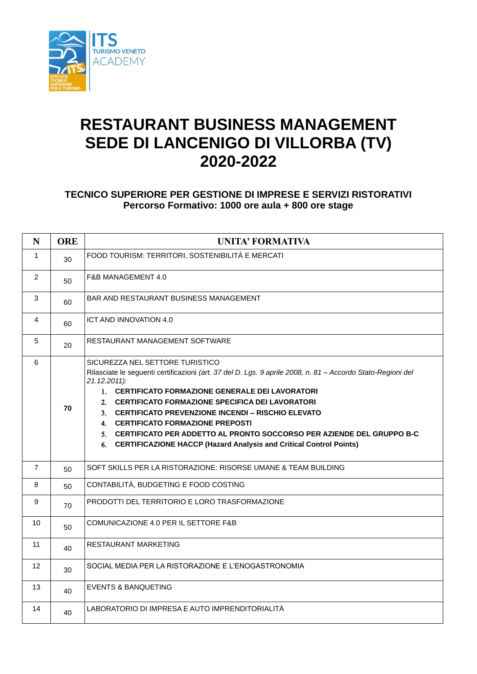

## **RESTAURANT BUSINESS MANAGEMENT SEDE DI LANCENIGO DI VILLORBA (TV) 2020-2022**

## **TECNICO SUPERIORE PER GESTIONE DI IMPRESE E SERVIZI RISTORATIVI Percorso Formativo: 1000 ore aula + 800 ore stage**

| $\mathbf N$       | <b>ORE</b> | <b>UNITA' FORMATIVA</b>                                                                                                                                                                                                                                                                                                                                                                                                                                                                                                        |
|-------------------|------------|--------------------------------------------------------------------------------------------------------------------------------------------------------------------------------------------------------------------------------------------------------------------------------------------------------------------------------------------------------------------------------------------------------------------------------------------------------------------------------------------------------------------------------|
| $\mathbf{1}$      | 30         | FOOD TOURISM: TERRITORI, SOSTENIBILITÀ E MERCATI                                                                                                                                                                                                                                                                                                                                                                                                                                                                               |
| 2                 | 50         | F&B MANAGEMENT 4.0                                                                                                                                                                                                                                                                                                                                                                                                                                                                                                             |
| 3                 | 60         | BAR AND RESTAURANT BUSINESS MANAGEMENT                                                                                                                                                                                                                                                                                                                                                                                                                                                                                         |
| $\overline{4}$    | 60         | ICT AND INNOVATION 4.0                                                                                                                                                                                                                                                                                                                                                                                                                                                                                                         |
| 5                 | 20         | RESTAURANT MANAGEMENT SOFTWARE                                                                                                                                                                                                                                                                                                                                                                                                                                                                                                 |
| $6\phantom{1}$    | 70         | SICUREZZA NEL SETTORE TURISTICO<br>Rilasciate le seguenti certificazioni (art. 37 del D. Lgs. 9 aprile 2008, n. 81 - Accordo Stato-Regioni del<br>$21.12.2011$ :<br>1. CERTIFICATO FORMAZIONE GENERALE DEI LAVORATORI<br>2. CERTIFICATO FORMAZIONE SPECIFICA DEI LAVORATORI<br>3. CERTIFICATO PREVENZIONE INCENDI – RISCHIO ELEVATO<br>4. CERTIFICATO FORMAZIONE PREPOSTI<br>5. CERTIFICATO PER ADDETTO AL PRONTO SOCCORSO PER AZIENDE DEL GRUPPO B-C<br>6. CERTIFICAZIONE HACCP (Hazard Analysis and Critical Control Points) |
| $\overline{7}$    | 50         | SOFT SKILLS PER LA RISTORAZIONE: RISORSE UMANE & TEAM BUILDING                                                                                                                                                                                                                                                                                                                                                                                                                                                                 |
| 8                 | 50         | CONTABILITÀ, BUDGETING E FOOD COSTING                                                                                                                                                                                                                                                                                                                                                                                                                                                                                          |
| 9                 | 70         | PRODOTTI DEL TERRITORIO E LORO TRASFORMAZIONE                                                                                                                                                                                                                                                                                                                                                                                                                                                                                  |
| 10                | 50         | COMUNICAZIONE 4.0 PER IL SETTORE F&B                                                                                                                                                                                                                                                                                                                                                                                                                                                                                           |
| 11                | 40         | <b>RESTAURANT MARKETING</b>                                                                                                                                                                                                                                                                                                                                                                                                                                                                                                    |
| $12 \overline{ }$ | 30         | SOCIAL MEDIA PER LA RISTORAZIONE E L'ENOGASTRONOMIA                                                                                                                                                                                                                                                                                                                                                                                                                                                                            |
| 13                | 40         | EVENTS & BANQUETING                                                                                                                                                                                                                                                                                                                                                                                                                                                                                                            |
| 14                | 40         | LABORATORIO DI IMPRESA E AUTO IMPRENDITORIALITÀ                                                                                                                                                                                                                                                                                                                                                                                                                                                                                |